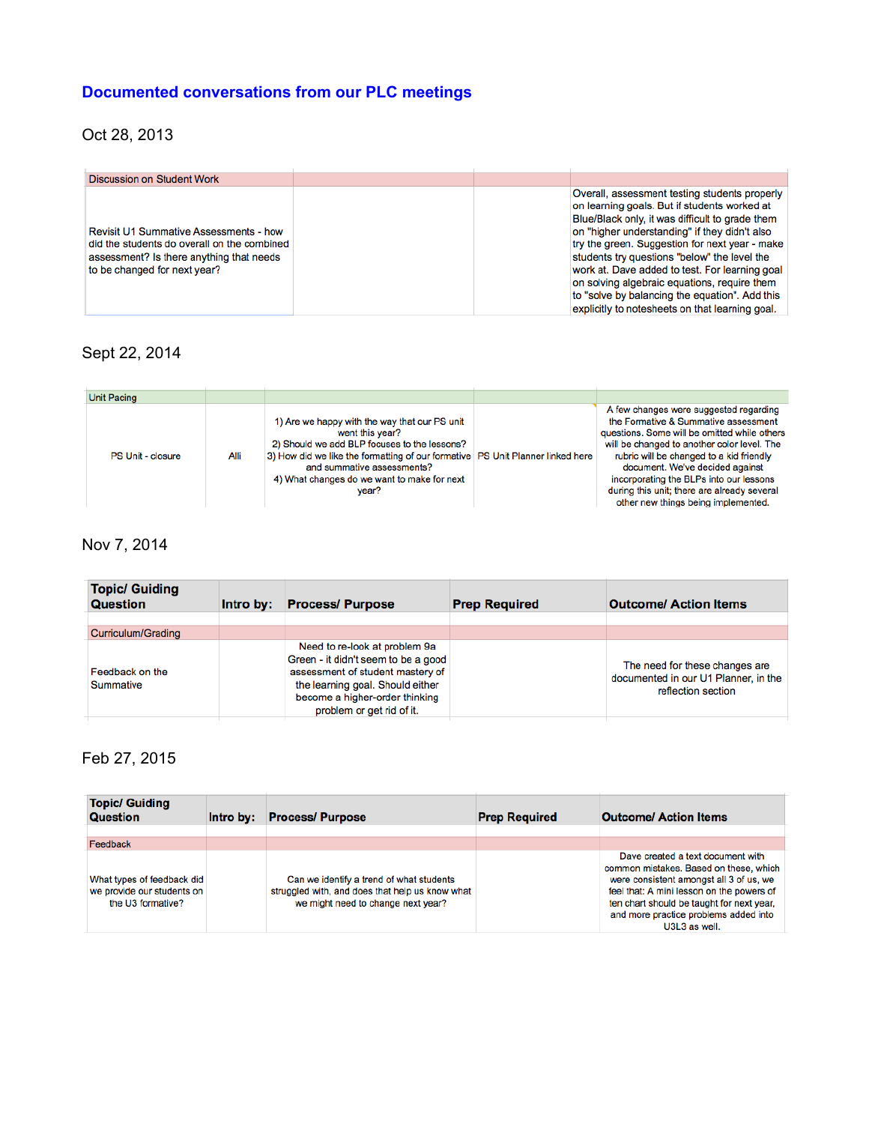## **Documented conversations from our PLC meetings**

## Oct 28, 2013

| <b>Discussion on Student Work</b>                                                                                                                                        |  |                                                                                                                                                                                                                                                                                                                                                                                                                                                                                                            |
|--------------------------------------------------------------------------------------------------------------------------------------------------------------------------|--|------------------------------------------------------------------------------------------------------------------------------------------------------------------------------------------------------------------------------------------------------------------------------------------------------------------------------------------------------------------------------------------------------------------------------------------------------------------------------------------------------------|
| <b>Revisit U1 Summative Assessments - how</b><br>did the students do overall on the combined<br>assessment? Is there anything that needs<br>to be changed for next year? |  | Overall, assessment testing students properly<br>on learning goals. But if students worked at<br>Blue/Black only, it was difficult to grade them<br>on "higher understanding" if they didn't also<br>try the green. Suggestion for next year - make<br>students try questions "below" the level the<br>work at. Dave added to test. For learning goal<br>on solving algebraic equations, require them<br>to "solve by balancing the equation". Add this<br>explicitly to notesheets on that learning goal. |

## Sept 22, 2014

| <b>Unit Pacing</b> |      |                                                                                                                                                                                                                                                                                            |                                                                                                                                                                                                                                                                                                                                                                                               |
|--------------------|------|--------------------------------------------------------------------------------------------------------------------------------------------------------------------------------------------------------------------------------------------------------------------------------------------|-----------------------------------------------------------------------------------------------------------------------------------------------------------------------------------------------------------------------------------------------------------------------------------------------------------------------------------------------------------------------------------------------|
| PS Unit - closure  | Alli | 1) Are we happy with the way that our PS unit<br>went this year?<br>2) Should we add BLP focuses to the lessons?<br>3) How did we like the formatting of our formative   PS Unit Planner linked here<br>and summative assessments?<br>4) What changes do we want to make for next<br>vear? | A few changes were suggested regarding<br>the Formative & Summative assessment<br>questions. Some will be omitted while others<br>will be changed to another color level. The<br>rubric will be changed to a kid friendly<br>document. We've decided against<br>incorporating the BLPs into our lessons<br>during this unit; there are already several<br>other new things being implemented. |

## Nov 7, 2014

| <b>Topic/ Guiding</b><br><b>Question</b> | Intro by: | <b>Process/Purpose</b>                                                                                                                                                                                      | <b>Prep Required</b> | <b>Outcome/ Action Items</b>                                                                 |
|------------------------------------------|-----------|-------------------------------------------------------------------------------------------------------------------------------------------------------------------------------------------------------------|----------------------|----------------------------------------------------------------------------------------------|
| Curriculum/Grading                       |           |                                                                                                                                                                                                             |                      |                                                                                              |
| Feedback on the<br><b>Summative</b>      |           | Need to re-look at problem 9a<br>Green - it didn't seem to be a good<br>assessment of student mastery of<br>the learning goal. Should either<br>become a higher-order thinking<br>problem or get rid of it. |                      | The need for these changes are<br>documented in our U1 Planner, in the<br>reflection section |

## Feb 27, 2015

| <b>Topic/ Guiding</b><br><b>Question</b>                                      | Intro by: | <b>Process/Purpose</b>                                                                                                            | <b>Prep Required</b> | <b>Outcome/ Action Items</b>                                                                                                                                                                                                                                               |
|-------------------------------------------------------------------------------|-----------|-----------------------------------------------------------------------------------------------------------------------------------|----------------------|----------------------------------------------------------------------------------------------------------------------------------------------------------------------------------------------------------------------------------------------------------------------------|
|                                                                               |           |                                                                                                                                   |                      |                                                                                                                                                                                                                                                                            |
| Feedback                                                                      |           |                                                                                                                                   |                      |                                                                                                                                                                                                                                                                            |
| What types of feedback did<br>we provide our students on<br>the U3 formative? |           | Can we identify a trend of what students<br>struggled with, and does that help us know what<br>we might need to change next year? |                      | Dave created a text document with<br>common mistakes. Based on these, which<br>were consistent amongst all 3 of us, we<br>feel that: A mini lesson on the powers of<br>ten chart should be taught for next year,<br>and more practice problems added into<br>U3L3 as well. |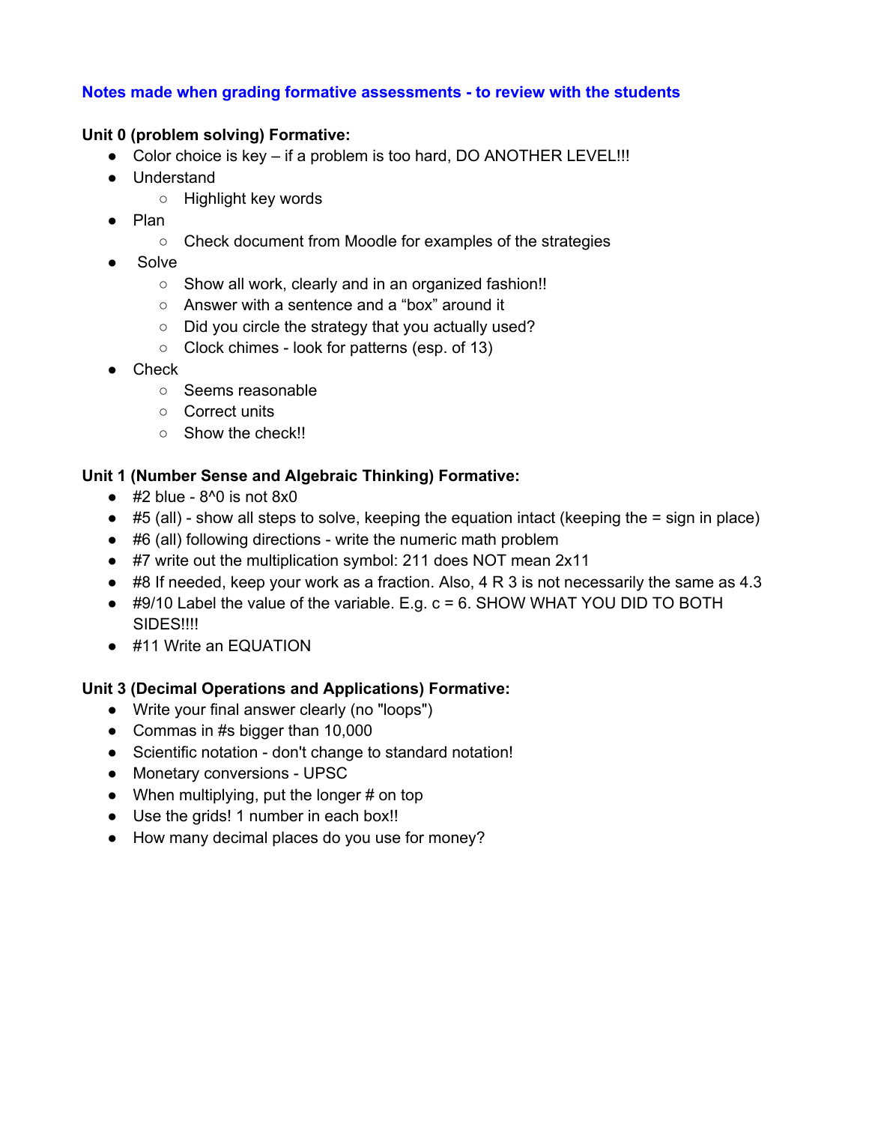#### **Notes made when grading formative assessments to review with the students**

#### **Unit 0 (problem solving) Formative:**

- Color choice is key if a problem is too hard, DO ANOTHER LEVEL!!!
- Understand
	- Highlight key words
- Plan
	- Check document from Moodle for examples of the strategies
- **Solve** 
	- Show all work, clearly and in an organized fashion!!
	- Answer with a sentence and a "box" around it
	- Did you circle the strategy that you actually used?
	- Clock chimes look for patterns (esp. of 13)
- Check
	- Seems reasonable
	- Correct units
	- Show the check!!

#### **Unit 1 (Number Sense and Algebraic Thinking) Formative:**

- $\bullet$  #2 blue 8^0 is not 8x0
- $\bullet$  #5 (all) show all steps to solve, keeping the equation intact (keeping the = sign in place)
- #6 (all) following directions write the numeric math problem
- #7 write out the multiplication symbol: 211 does NOT mean 2x11
- $\bullet$  #8 If needed, keep your work as a fraction. Also, 4 R 3 is not necessarily the same as 4.3
- $\bullet$  #9/10 Label the value of the variable. E.g. c = 6. SHOW WHAT YOU DID TO BOTH SIDES!!!!
- #11 Write an EQUATION

#### **Unit 3 (Decimal Operations and Applications) Formative:**

- Write your final answer clearly (no "loops")
- Commas in #s bigger than 10,000
- Scientific notation don't change to standard notation!
- Monetary conversions UPSC
- $\bullet$  When multiplying, put the longer # on top
- Use the grids! 1 number in each box!!
- How many decimal places do you use for money?